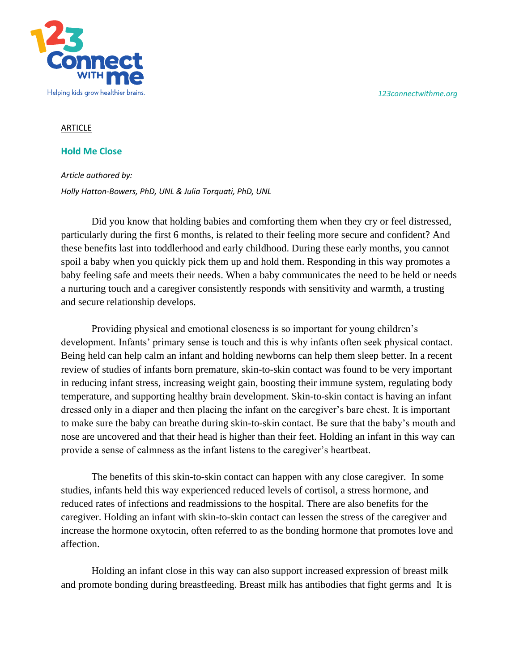*123connectwithme.org*



## **ARTICLE**

## **Hold Me Close**

*Article authored by: Holly Hatton-Bowers, PhD, UNL & Julia Torquati, PhD, UNL*

Did you know that holding babies and comforting them when they cry or feel distressed, particularly during the first 6 months, is related to their feeling more secure and confident? And these benefits last into toddlerhood and early childhood. During these early months, you cannot spoil a baby when you quickly pick them up and hold them. Responding in this way promotes a baby feeling safe and meets their needs. When a baby communicates the need to be held or needs a nurturing touch and a caregiver consistently responds with sensitivity and warmth, a trusting and secure relationship develops.

Providing physical and emotional closeness is so important for young children's development. Infants' primary sense is touch and this is why infants often seek physical contact. Being held can help calm an infant and holding newborns can help them sleep better. In a recent review of studies of infants born premature, skin-to-skin contact was found to be very important in reducing infant stress, increasing weight gain, boosting their immune system, regulating body temperature, and supporting healthy brain development. Skin-to-skin contact is having an infant dressed only in a diaper and then placing the infant on the caregiver's bare chest. It is important to make sure the baby can breathe during skin-to-skin contact. Be sure that the baby's mouth and nose are uncovered and that their head is higher than their feet. Holding an infant in this way can provide a sense of calmness as the infant listens to the caregiver's heartbeat.

The benefits of this skin-to-skin contact can happen with any close caregiver. In some studies, infants held this way experienced reduced levels of cortisol, a stress hormone, and reduced rates of infections and readmissions to the hospital. There are also benefits for the caregiver. Holding an infant with skin-to-skin contact can lessen the stress of the caregiver and increase the hormone oxytocin, often referred to as the bonding hormone that promotes love and affection.

Holding an infant close in this way can also support increased expression of breast milk and promote bonding during breastfeeding. Breast milk has antibodies that fight germs and It is